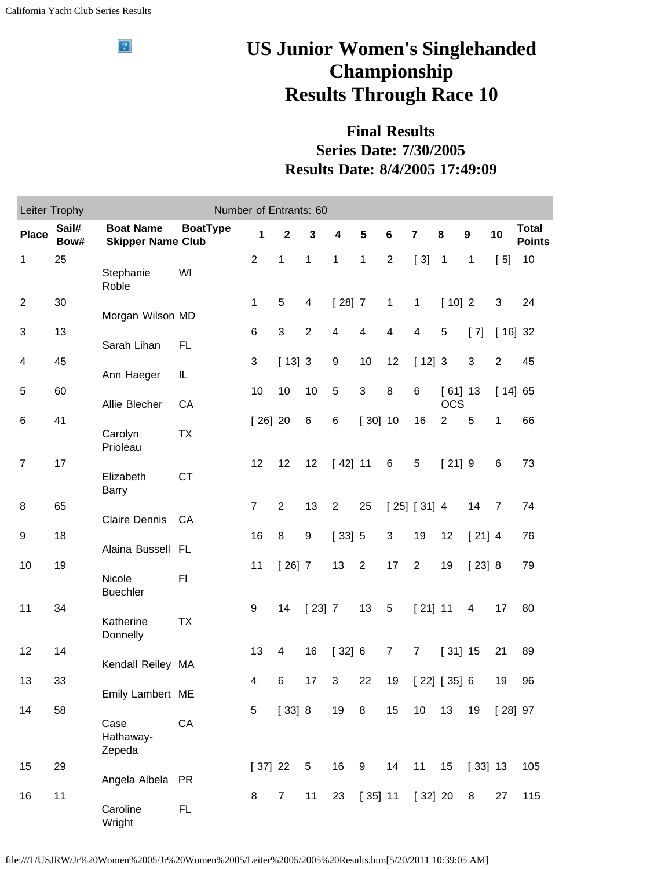$\sqrt{2}$ 

## **US Junior Women's Singlehanded Championship Results Through Race 10**

## **Final Results Series Date: 7/30/2005 Results Date: 8/4/2005 17:49:09**

| Leiter Trophy<br>Number of Entrants: 60 |               |                                              |                 |                |                |                |                |                         |                |                         |                         |           |                |                               |
|-----------------------------------------|---------------|----------------------------------------------|-----------------|----------------|----------------|----------------|----------------|-------------------------|----------------|-------------------------|-------------------------|-----------|----------------|-------------------------------|
| <b>Place</b>                            | Sail#<br>Bow# | <b>Boat Name</b><br><b>Skipper Name Club</b> | <b>BoatType</b> | 1              | $\mathbf{2}$   | 3              | 4              | 5                       | $\bf 6$        | $\overline{\mathbf{7}}$ | 8                       | 9         | 10             | <b>Total</b><br><b>Points</b> |
| $\mathbf 1$                             | 25            | Stephanie<br>Roble                           | WI              | $\overline{2}$ | 1              | 1              | 1              | $\mathbf{1}$            | $\overline{2}$ | [3]                     | $\overline{1}$          | 1         | [5]            | 10                            |
| $\overline{2}$                          | 30            | Morgan Wilson MD                             |                 | $\mathbf{1}$   | 5              | 4              | $[28]$ 7       |                         | $\mathbf{1}$   | $\mathbf{1}$            | [10]2                   |           | 3              | 24                            |
| 3                                       | 13            | Sarah Lihan                                  | FL.             | 6              | 3              | $\overline{2}$ | 4              | $\overline{\mathbf{4}}$ | 4              | $\overline{\mathbf{4}}$ | 5                       | $[7]$     | $[16]$ 32      |                               |
| 4                                       | 45            | Ann Haeger                                   | IL              | 3              | $[13]$ 3       |                | 9              | 10                      | 12             | [12]3                   |                         | 3         | $\overline{2}$ | 45                            |
| 5                                       | 60            | Allie Blecher                                | CA              | 10             | 10             | 10             | 5              | $\mathbf{3}$            | 8              | 6                       | $[61]$ 13<br><b>OCS</b> |           | [14] 65        |                               |
| 6                                       | 41            | Carolyn<br>Prioleau                          | TX              | $[26]$ 20      |                | 6              | 6              | $[30]$ 10               |                | 16                      | $\overline{2}$          | 5         | 1              | 66                            |
| $\overline{7}$                          | 17            | Elizabeth<br><b>Barry</b>                    | <b>CT</b>       | 12             | 12             | 12             | [42] 11        |                         | 6              | 5                       | $[21]$ 9                |           | 6              | 73                            |
| 8                                       | 65            | <b>Claire Dennis</b>                         | CA              | $\overline{7}$ | $\overline{2}$ | 13             | $\overline{2}$ | 25                      |                | [25] [31] 4             |                         | 14        | $\overline{7}$ | 74                            |
| 9                                       | 18            | Alaina Bussell FL                            |                 | 16             | 8              | 9              | $[33]$ 5       |                         | 3              | 19                      | 12                      | $[21]$ 4  |                | 76                            |
| 10                                      | 19            | Nicole<br><b>Buechler</b>                    | F1              | 11             | $[26]$ 7       |                | 13             | $\sqrt{2}$              | 17             | $\overline{2}$          | 19                      | [23] 8    |                | 79                            |
| 11                                      | 34            | Katherine<br>Donnelly                        | <b>TX</b>       | 9              | 14             | $[23]$ 7       |                | 13                      | $\sqrt{5}$     | $[21]$ 11               |                         | 4         | 17             | 80                            |
| 12                                      | 14            | Kendall Reiley MA                            |                 | 13             | 4              | 16             | [32] 6         |                         | $\overline{7}$ | $\overline{7}$          | $[31]$ 15               |           | 21             | 89                            |
| 13                                      | 33            | Emily Lambert ME                             |                 | 4              | 6              | 17             | 3              | 22                      | 19             |                         | [22] [35] 6             |           | 19             | 96                            |
| 14                                      | 58            | Case<br>Hathaway-<br>Zepeda                  | CA              | 5              | [33] 8         |                | 19 8           |                         | 15             | $10$                    | 13                      | 19        | $[28]$ 97      |                               |
| 15                                      | 29            | Angela Albela PR                             |                 | [37] 22        |                | 5              | 16             | $9\,$                   | 14             | 11                      | 15                      | $[33]$ 13 |                | 105                           |
| 16                                      | 11            | Caroline<br>Wright                           | FL              | 8              | $\overline{7}$ | 11             | 23             | $[35]$ 11               |                | [32] 20                 |                         | 8         | 27             | 115                           |

file:///I|/USJRW/Jr%20Women%2005/Jr%20Women%2005/Leiter%2005/2005%20Results.htm[5/20/2011 10:39:05 AM]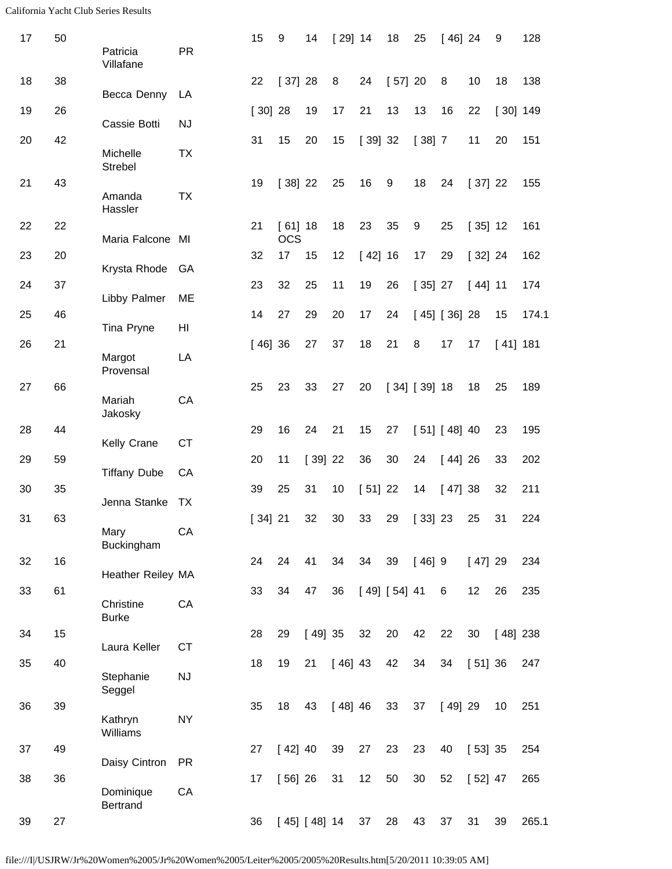| 17 | 50 | Patricia<br>Villafane        | <b>PR</b> | 15        | $\boldsymbol{9}$        | 14           | $[29]$ 14 |           | 18           | 25           | $[46]$ 24    |           | 9          | 128   |
|----|----|------------------------------|-----------|-----------|-------------------------|--------------|-----------|-----------|--------------|--------------|--------------|-----------|------------|-------|
| 18 | 38 | Becca Denny                  | LA        | 22        | [37] 28                 |              | 8         | 24        | [57] 20      |              | 8            | 10        | 18         | 138   |
| 19 | 26 | Cassie Botti                 | <b>NJ</b> | $[30]$ 28 |                         | 19           | 17        | 21        | 13           | 13           | 16           | 22        | $[30]$ 149 |       |
| 20 | 42 | Michelle<br><b>Strebel</b>   | <b>TX</b> | 31        | 15                      | 20           | 15        | [39]32    |              | [38] 7       |              | 11        | 20         | 151   |
| 21 | 43 | Amanda<br>Hassler            | <b>TX</b> | 19        | $[38]$ 22               |              | 25        | 16        | 9            | 18           | 24           | [37] 22   |            | 155   |
| 22 | 22 | Maria Falcone MI             |           | 21        | $[61]$ 18<br><b>OCS</b> |              | 18        | 23        | 35           | 9            | 25           | $[35]$ 12 |            | 161   |
| 23 | 20 | Krysta Rhode GA              |           | 32        | 17                      | 15           | 12        | [42] 16   |              | 17           | 29           | [32] 24   |            | 162   |
| 24 | 37 | Libby Palmer                 | ME        | 23        | 32                      | 25           | 11        | 19        | 26           | $[35]$ 27    |              | $[44]$ 11 |            | 174   |
| 25 | 46 | Tina Pryne                   | HI        | 14        | 27                      | 29           | 20        | 17        | 24           |              | [45] [36] 28 |           | 15         | 174.1 |
| 26 | 21 | Margot<br>Provensal          | LA        | [46]36    |                         | 27           | 37        | 18        | 21           | 8            | 17           | 17        | $[41]$ 181 |       |
| 27 | 66 | Mariah<br>Jakosky            | CA        | 25        | 23                      | 33           | 27        | 20        |              | [34] [39] 18 |              | 18        | 25         | 189   |
| 28 | 44 | Kelly Crane                  | <b>CT</b> | 29        | 16                      | 24           | 21        | 15        | 27           |              | [51] [48] 40 |           | 23         | 195   |
| 29 | 59 | <b>Tiffany Dube</b>          | CA        | 20        | 11                      | $[39]$ 22    |           | 36        | 30           | 24           | [44]26       |           | 33         | 202   |
| 30 | 35 | Jenna Stanke                 | <b>TX</b> | 39        | 25                      | 31           | 10        | $[51]$ 22 |              | 14           | [47] 38      |           | 32         | 211   |
| 31 | 63 | Mary<br>Buckingham           | CA        | [34]21    |                         | 32           | 30        | 33        | 29           | [33] 23      |              | 25        | 31         | 224   |
| 32 | 16 | Heather Reiley MA            |           | 24        | 24                      | 41           | 34        | 34        | 39           | $[46]$ 9     |              | [47] 29   |            | 234   |
| 33 | 61 | Christine<br><b>Burke</b>    | CA        | 33        | 34                      | 47           | 36        |           | [49] [54] 41 |              | 6            | 12        | 26         | 235   |
| 34 | 15 | Laura Keller                 | <b>CT</b> | 28        | 29                      | [49]35       |           | 32        | 20           | 42           | 22           | 30        | $[48]$ 238 |       |
| 35 | 40 | Stephanie<br>Seggel          | <b>NJ</b> | 18        | 19                      | 21           | $[46]$ 43 |           | 42           | 34           | 34           | $[51]$ 36 |            | 247   |
| 36 | 39 | Kathryn<br>Williams          | <b>NY</b> | 35        | 18                      | 43           | [48]46    |           | 33           | 37           | [49]29       |           | 10         | 251   |
| 37 | 49 | Daisy Cintron                | <b>PR</b> | 27        | [42] 40                 |              | 39        | 27        | 23           | 23           | 40           | $[53]$ 35 |            | 254   |
| 38 | 36 | Dominique<br><b>Bertrand</b> | CA        | 17        | $[56]$ 26               |              | 31        | 12        | 50           | 30           | 52           | $[52]$ 47 |            | 265   |
| 39 | 27 |                              |           | 36        |                         | [45] [48] 14 |           | 37        | 28           | 43           | 37           | 31        | 39         | 265.1 |

file:///I|/USJRW/Jr%20Women%2005/Jr%20Women%2005/Leiter%2005/2005%20Results.htm[5/20/2011 10:39:05 AM]